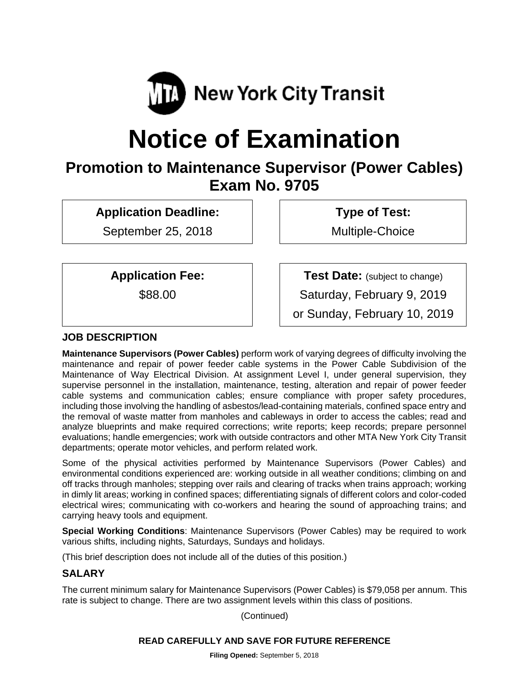

# **Notice of Examination**

# **Promotion to Maintenance Supervisor (Power Cables) Exam No. 9705**

**Application Deadline:** 

September 25, 2018

 **Type of Test:** 

Multiple-Choice

**Application Fee:** 

\$88.00

**Test Date:** (subject to change)

Saturday, February 9, 2019

or Sunday, February 10, 2019

# **JOB DESCRIPTION**

**Maintenance Supervisors (Power Cables)** perform work of varying degrees of difficulty involving the maintenance and repair of power feeder cable systems in the Power Cable Subdivision of the Maintenance of Way Electrical Division. At assignment Level I, under general supervision, they supervise personnel in the installation, maintenance, testing, alteration and repair of power feeder cable systems and communication cables; ensure compliance with proper safety procedures, including those involving the handling of asbestos/lead-containing materials, confined space entry and the removal of waste matter from manholes and cableways in order to access the cables; read and analyze blueprints and make required corrections; write reports; keep records; prepare personnel evaluations; handle emergencies; work with outside contractors and other MTA New York City Transit departments; operate motor vehicles, and perform related work.

Some of the physical activities performed by Maintenance Supervisors (Power Cables) and environmental conditions experienced are: working outside in all weather conditions; climbing on and off tracks through manholes; stepping over rails and clearing of tracks when trains approach; working in dimly lit areas; working in confined spaces; differentiating signals of different colors and color-coded electrical wires; communicating with co-workers and hearing the sound of approaching trains; and carrying heavy tools and equipment.

**Special Working Conditions**: Maintenance Supervisors (Power Cables) may be required to work various shifts, including nights, Saturdays, Sundays and holidays.

(This brief description does not include all of the duties of this position.)

# **SALARY**

The current minimum salary for Maintenance Supervisors (Power Cables) is \$79,058 per annum. This rate is subject to change. There are two assignment levels within this class of positions.

(Continued)

#### **READ CAREFULLY AND SAVE FOR FUTURE REFERENCE**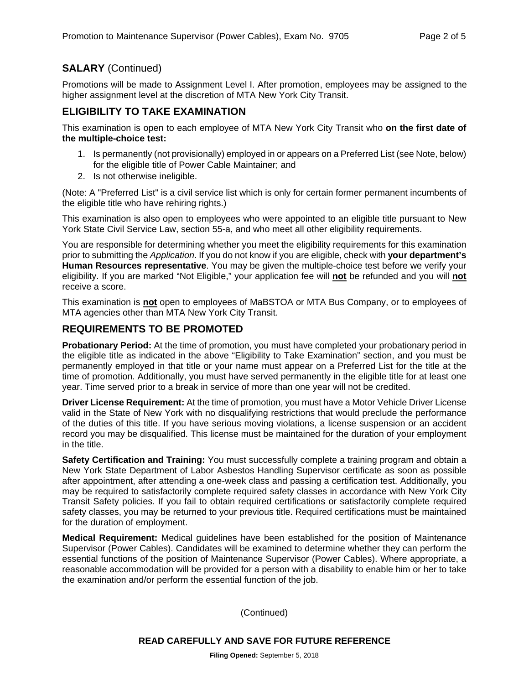# **SALARY** (Continued)

Promotions will be made to Assignment Level I. After promotion, employees may be assigned to the higher assignment level at the discretion of MTA New York City Transit.

#### **ELIGIBILITY TO TAKE EXAMINATION**

This examination is open to each employee of MTA New York City Transit who **on the first date of the multiple-choice test:** 

- 1. Is permanently (not provisionally) employed in or appears on a Preferred List (see Note, below) for the eligible title of Power Cable Maintainer; and
- 2. Is not otherwise ineligible.

(Note: A "Preferred List" is a civil service list which is only for certain former permanent incumbents of the eligible title who have rehiring rights.)

This examination is also open to employees who were appointed to an eligible title pursuant to New York State Civil Service Law, section 55-a, and who meet all other eligibility requirements.

You are responsible for determining whether you meet the eligibility requirements for this examination prior to submitting the *Application*. If you do not know if you are eligible, check with **your department's Human Resources representative**. You may be given the multiple-choice test before we verify your eligibility. If you are marked "Not Eligible," your application fee will **not** be refunded and you will **not** receive a score.

This examination is **not** open to employees of MaBSTOA or MTA Bus Company, or to employees of MTA agencies other than MTA New York City Transit.

#### **REQUIREMENTS TO BE PROMOTED**

**Probationary Period:** At the time of promotion, you must have completed your probationary period in the eligible title as indicated in the above "Eligibility to Take Examination" section, and you must be permanently employed in that title or your name must appear on a Preferred List for the title at the time of promotion. Additionally, you must have served permanently in the eligible title for at least one year. Time served prior to a break in service of more than one year will not be credited.

**Driver License Requirement:** At the time of promotion, you must have a Motor Vehicle Driver License valid in the State of New York with no disqualifying restrictions that would preclude the performance of the duties of this title. If you have serious moving violations, a license suspension or an accident record you may be disqualified. This license must be maintained for the duration of your employment in the title.

**Safety Certification and Training:** You must successfully complete a training program and obtain a New York State Department of Labor Asbestos Handling Supervisor certificate as soon as possible after appointment, after attending a one-week class and passing a certification test. Additionally, you may be required to satisfactorily complete required safety classes in accordance with New York City Transit Safety policies. If you fail to obtain required certifications or satisfactorily complete required safety classes, you may be returned to your previous title. Required certifications must be maintained for the duration of employment.

**Medical Requirement:** Medical guidelines have been established for the position of Maintenance Supervisor (Power Cables). Candidates will be examined to determine whether they can perform the essential functions of the position of Maintenance Supervisor (Power Cables). Where appropriate, a reasonable accommodation will be provided for a person with a disability to enable him or her to take the examination and/or perform the essential function of the job.

(Continued)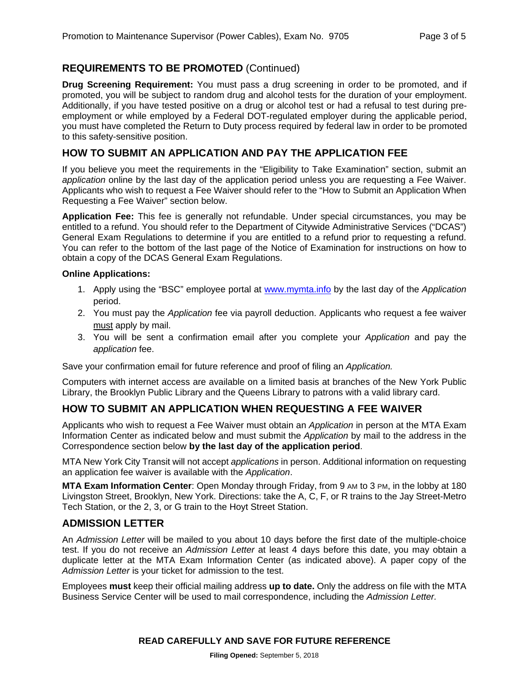# **REQUIREMENTS TO BE PROMOTED** (Continued)

**Drug Screening Requirement:** You must pass a drug screening in order to be promoted, and if promoted, you will be subject to random drug and alcohol tests for the duration of your employment. Additionally, if you have tested positive on a drug or alcohol test or had a refusal to test during preemployment or while employed by a Federal DOT-regulated employer during the applicable period, you must have completed the Return to Duty process required by federal law in order to be promoted to this safety-sensitive position.

#### **HOW TO SUBMIT AN APPLICATION AND PAY THE APPLICATION FEE**

If you believe you meet the requirements in the "Eligibility to Take Examination" section, submit an *application* online by the last day of the application period unless you are requesting a Fee Waiver. Applicants who wish to request a Fee Waiver should refer to the "How to Submit an Application When Requesting a Fee Waiver" section below.

**Application Fee:** This fee is generally not refundable. Under special circumstances, you may be entitled to a refund. You should refer to the Department of Citywide Administrative Services ("DCAS") General Exam Regulations to determine if you are entitled to a refund prior to requesting a refund. You can refer to the bottom of the last page of the Notice of Examination for instructions on how to obtain a copy of the DCAS General Exam Regulations.

#### **Online Applications:**

- 1. Apply using the "BSC" employee portal at www.mymta.info by the last day of the *Application*  period.
- 2. You must pay the *Application* fee via payroll deduction. Applicants who request a fee waiver must apply by mail.
- 3. You will be sent a confirmation email after you complete your *Application* and pay the *application* fee.

Save your confirmation email for future reference and proof of filing an *Application.*

Computers with internet access are available on a limited basis at branches of the New York Public Library, the Brooklyn Public Library and the Queens Library to patrons with a valid library card.

# **HOW TO SUBMIT AN APPLICATION WHEN REQUESTING A FEE WAIVER**

Applicants who wish to request a Fee Waiver must obtain an *Application* in person at the MTA Exam Information Center as indicated below and must submit the *Application* by mail to the address in the Correspondence section below **by the last day of the application period**.

MTA New York City Transit will not accept *applications* in person. Additional information on requesting an application fee waiver is available with the *Application*.

**MTA Exam Information Center**: Open Monday through Friday, from 9 AM to 3 PM, in the lobby at 180 Livingston Street, Brooklyn, New York. Directions: take the A, C, F, or R trains to the Jay Street-Metro Tech Station, or the 2, 3, or G train to the Hoyt Street Station.

#### **ADMISSION LETTER**

An *Admission Letter* will be mailed to you about 10 days before the first date of the multiple-choice test. If you do not receive an *Admission Letter* at least 4 days before this date, you may obtain a duplicate letter at the MTA Exam Information Center (as indicated above). A paper copy of the *Admission Letter* is your ticket for admission to the test.

Employees **must** keep their official mailing address **up to date.** Only the address on file with the MTA Business Service Center will be used to mail correspondence, including the *Admission Letter.*

#### **READ CAREFULLY AND SAVE FOR FUTURE REFERENCE**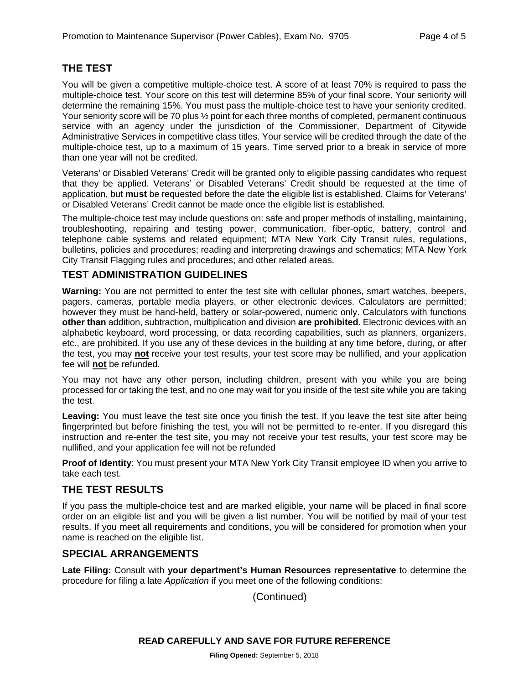#### **THE TEST**

You will be given a competitive multiple-choice test. A score of at least 70% is required to pass the multiple-choice test. Your score on this test will determine 85% of your final score. Your seniority will determine the remaining 15%. You must pass the multiple-choice test to have your seniority credited. Your seniority score will be 70 plus  $\frac{1}{2}$  point for each three months of completed, permanent continuous service with an agency under the jurisdiction of the Commissioner, Department of Citywide Administrative Services in competitive class titles. Your service will be credited through the date of the multiple-choice test, up to a maximum of 15 years. Time served prior to a break in service of more than one year will not be credited.

Veterans' or Disabled Veterans' Credit will be granted only to eligible passing candidates who request that they be applied. Veterans' or Disabled Veterans' Credit should be requested at the time of application, but **must** be requested before the date the eligible list is established. Claims for Veterans' or Disabled Veterans' Credit cannot be made once the eligible list is established.

The multiple-choice test may include questions on: safe and proper methods of installing, maintaining, troubleshooting, repairing and testing power, communication, fiber-optic, battery, control and telephone cable systems and related equipment; MTA New York City Transit rules, regulations, bulletins, policies and procedures; reading and interpreting drawings and schematics; MTA New York City Transit Flagging rules and procedures; and other related areas.

#### **TEST ADMINISTRATION GUIDELINES**

**Warning:** You are not permitted to enter the test site with cellular phones, smart watches, beepers, pagers, cameras, portable media players, or other electronic devices. Calculators are permitted; however they must be hand-held, battery or solar-powered, numeric only. Calculators with functions **other than** addition, subtraction, multiplication and division **are prohibited**. Electronic devices with an alphabetic keyboard, word processing, or data recording capabilities, such as planners, organizers, etc., are prohibited. If you use any of these devices in the building at any time before, during, or after the test, you may **not** receive your test results, your test score may be nullified, and your application fee will **not** be refunded.

You may not have any other person, including children, present with you while you are being processed for or taking the test, and no one may wait for you inside of the test site while you are taking the test.

**Leaving:** You must leave the test site once you finish the test. If you leave the test site after being fingerprinted but before finishing the test, you will not be permitted to re-enter. If you disregard this instruction and re-enter the test site, you may not receive your test results, your test score may be nullified, and your application fee will not be refunded

**Proof of Identity**: You must present your MTA New York City Transit employee ID when you arrive to take each test.

#### **THE TEST RESULTS**

If you pass the multiple-choice test and are marked eligible, your name will be placed in final score order on an eligible list and you will be given a list number. You will be notified by mail of your test results. If you meet all requirements and conditions, you will be considered for promotion when your name is reached on the eligible list.

#### **SPECIAL ARRANGEMENTS**

**Late Filing:** Consult with **your department's Human Resources representative** to determine the procedure for filing a late *Application* if you meet one of the following conditions:

(Continued)